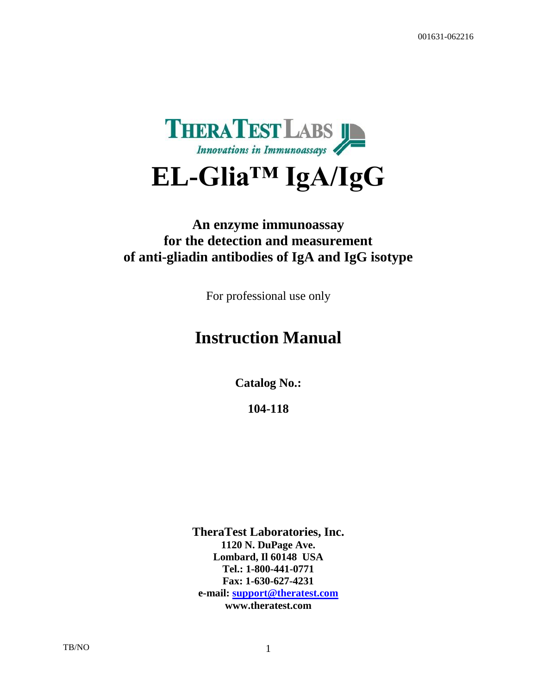

# **EL-Glia™ IgA/IgG**

# **An enzyme immunoassay for the detection and measurement of anti-gliadin antibodies of IgA and IgG isotype**

For professional use only

# **Instruction Manual**

**Catalog No.:**

**104-118**

**TheraTest Laboratories, Inc. 1120 N. DuPage Ave. Lombard, Il 60148 USA Tel.: 1-800-441-0771 Fax: 1-630-627-4231 e-mail: [support@theratest.com](mailto:support@theratest.com) www.theratest.com**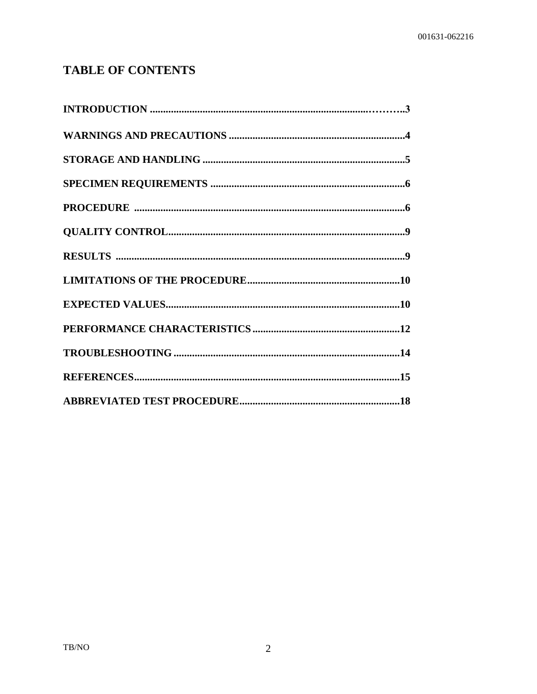# **TABLE OF CONTENTS**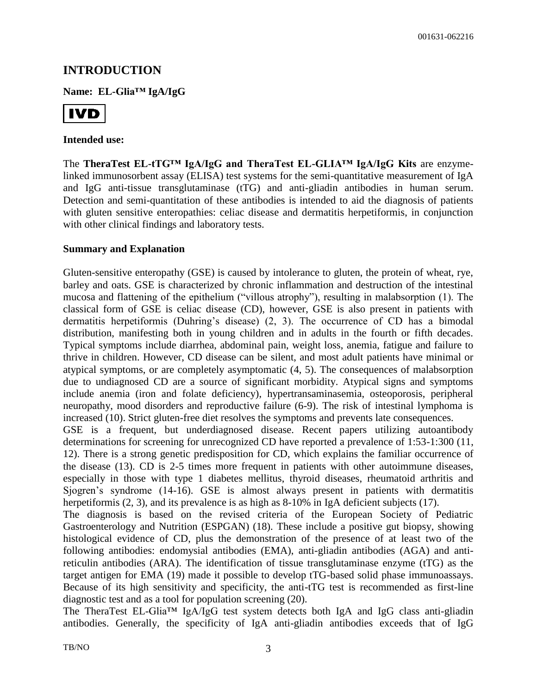# **INTRODUCTION**

**Name: EL-Glia™ IgA/IgG**



#### **Intended use:**

The **TheraTest EL-tTG™ IgA/IgG and TheraTest EL-GLIA™ IgA/IgG Kits** are enzymelinked immunosorbent assay (ELISA) test systems for the semi-quantitative measurement of IgA and IgG anti-tissue transglutaminase (tTG) and anti-gliadin antibodies in human serum. Detection and semi-quantitation of these antibodies is intended to aid the diagnosis of patients with gluten sensitive enteropathies: celiac disease and dermatitis herpetiformis, in conjunction with other clinical findings and laboratory tests.

#### **Summary and Explanation**

Gluten-sensitive enteropathy (GSE) is caused by intolerance to gluten, the protein of wheat, rye, barley and oats. GSE is characterized by chronic inflammation and destruction of the intestinal mucosa and flattening of the epithelium ("villous atrophy"), resulting in malabsorption (1). The classical form of GSE is celiac disease (CD), however, GSE is also present in patients with dermatitis herpetiformis (Duhring's disease) (2, 3). The occurrence of CD has a bimodal distribution, manifesting both in young children and in adults in the fourth or fifth decades. Typical symptoms include diarrhea, abdominal pain, weight loss, anemia, fatigue and failure to thrive in children. However, CD disease can be silent, and most adult patients have minimal or atypical symptoms, or are completely asymptomatic (4, 5). The consequences of malabsorption due to undiagnosed CD are a source of significant morbidity. Atypical signs and symptoms include anemia (iron and folate deficiency), hypertransaminasemia, osteoporosis, peripheral neuropathy, mood disorders and reproductive failure (6-9). The risk of intestinal lymphoma is increased (10). Strict gluten-free diet resolves the symptoms and prevents late consequences.

GSE is a frequent, but underdiagnosed disease. Recent papers utilizing autoantibody determinations for screening for unrecognized CD have reported a prevalence of 1:53-1:300 (11, 12). There is a strong genetic predisposition for CD, which explains the familiar occurrence of the disease (13). CD is 2-5 times more frequent in patients with other autoimmune diseases, especially in those with type 1 diabetes mellitus, thyroid diseases, rheumatoid arthritis and Sjogren's syndrome (14-16). GSE is almost always present in patients with dermatitis herpetiformis (2, 3), and its prevalence is as high as 8-10% in IgA deficient subjects (17).

The diagnosis is based on the revised criteria of the European Society of Pediatric Gastroenterology and Nutrition (ESPGAN) (18). These include a positive gut biopsy, showing histological evidence of CD, plus the demonstration of the presence of at least two of the following antibodies: endomysial antibodies (EMA), anti-gliadin antibodies (AGA) and antireticulin antibodies (ARA). The identification of tissue transglutaminase enzyme (tTG) as the target antigen for EMA (19) made it possible to develop tTG-based solid phase immunoassays. Because of its high sensitivity and specificity, the anti-tTG test is recommended as first-line diagnostic test and as a tool for population screening (20).

The TheraTest EL-Glia™ IgA/IgG test system detects both IgA and IgG class anti-gliadin antibodies. Generally, the specificity of IgA anti-gliadin antibodies exceeds that of IgG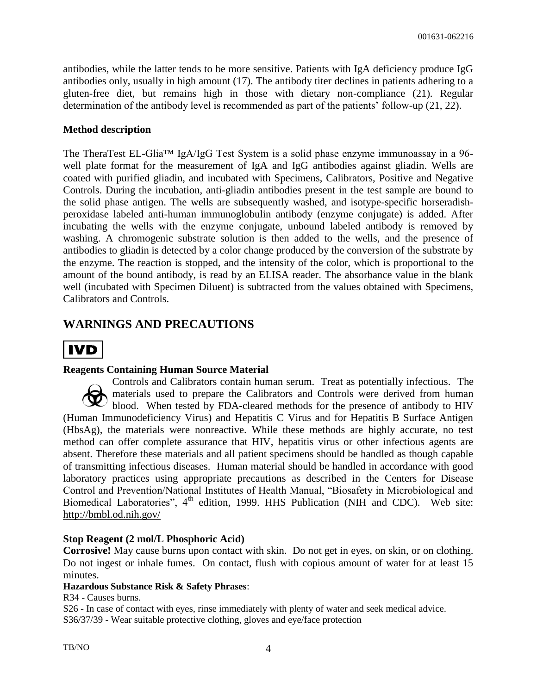antibodies, while the latter tends to be more sensitive. Patients with IgA deficiency produce IgG antibodies only, usually in high amount (17). The antibody titer declines in patients adhering to a gluten-free diet, but remains high in those with dietary non-compliance (21). Regular determination of the antibody level is recommended as part of the patients' follow-up (21, 22).

#### **Method description**

The TheraTest EL-Glia™ IgA/IgG Test System is a solid phase enzyme immunoassay in a 96 well plate format for the measurement of IgA and IgG antibodies against gliadin. Wells are coated with purified gliadin, and incubated with Specimens, Calibrators, Positive and Negative Controls. During the incubation, anti-gliadin antibodies present in the test sample are bound to the solid phase antigen. The wells are subsequently washed, and isotype-specific horseradishperoxidase labeled anti-human immunoglobulin antibody (enzyme conjugate) is added. After incubating the wells with the enzyme conjugate, unbound labeled antibody is removed by washing. A chromogenic substrate solution is then added to the wells, and the presence of antibodies to gliadin is detected by a color change produced by the conversion of the substrate by the enzyme. The reaction is stopped, and the intensity of the color, which is proportional to the amount of the bound antibody, is read by an ELISA reader. The absorbance value in the blank well (incubated with Specimen Diluent) is subtracted from the values obtained with Specimens, Calibrators and Controls.

# **WARNINGS AND PRECAUTIONS**



#### **Reagents Containing Human Source Material**

Controls and Calibrators contain human serum. Treat as potentially infectious.The materials used to prepare the Calibrators and Controls were derived from human blood. When tested by FDA-cleared methods for the presence of antibody to HIV (Human Immunodeficiency Virus) and Hepatitis C Virus and for Hepatitis B Surface Antigen (HbsAg), the materials were nonreactive. While these methods are highly accurate, no test method can offer complete assurance that HIV, hepatitis virus or other infectious agents are absent. Therefore these materials and all patient specimens should be handled as though capable of transmitting infectious diseases. Human material should be handled in accordance with good laboratory practices using appropriate precautions as described in the Centers for Disease Control and Prevention/National Institutes of Health Manual, "Biosafety in Microbiological and Biomedical Laboratories", 4<sup>th</sup> edition, 1999. HHS Publication (NIH and CDC). Web site: <http://bmbl.od.nih.gov/>

#### **Stop Reagent (2 mol/L Phosphoric Acid)**

**Corrosive!** May cause burns upon contact with skin. Do not get in eyes, on skin, or on clothing. Do not ingest or inhale fumes. On contact, flush with copious amount of water for at least 15 minutes.

#### **Hazardous Substance Risk & Safety Phrases**:

R34 - Causes burns.

S26 - In case of contact with eyes, rinse immediately with plenty of water and seek medical advice. S36/37/39 - Wear suitable protective clothing, gloves and eye/face protection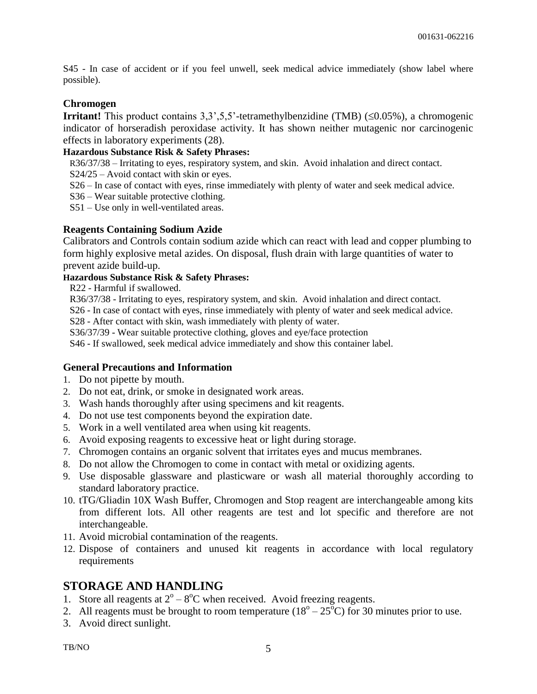S45 - In case of accident or if you feel unwell, seek medical advice immediately (show label where possible).

#### **Chromogen**

**Irritant!** This product contains  $3,3,5,5$ <sup>-</sup>-tetramethylbenzidine (TMB) ( $\leq 0.05\%$ ), a chromogenic indicator of horseradish peroxidase activity. It has shown neither mutagenic nor carcinogenic effects in laboratory experiments (28).

#### **Hazardous Substance Risk & Safety Phrases:**

R36/37/38 – Irritating to eyes, respiratory system, and skin. Avoid inhalation and direct contact.

- S24/25 Avoid contact with skin or eyes.
- S26 In case of contact with eyes, rinse immediately with plenty of water and seek medical advice.
- S36 Wear suitable protective clothing.

S51 – Use only in well-ventilated areas.

#### **Reagents Containing Sodium Azide**

Calibrators and Controls contain sodium azide which can react with lead and copper plumbing to form highly explosive metal azides. On disposal, flush drain with large quantities of water to prevent azide build-up.

#### **Hazardous Substance Risk & Safety Phrases:**

R22 - Harmful if swallowed.

R36/37/38 - Irritating to eyes, respiratory system, and skin. Avoid inhalation and direct contact.

S26 - In case of contact with eyes, rinse immediately with plenty of water and seek medical advice.

S28 - After contact with skin, wash immediately with plenty of water.

S36/37/39 - Wear suitable protective clothing, gloves and eye/face protection

S46 - If swallowed, seek medical advice immediately and show this container label.

#### **General Precautions and Information**

- 1. Do not pipette by mouth.
- 2. Do not eat, drink, or smoke in designated work areas.
- 3. Wash hands thoroughly after using specimens and kit reagents.
- 4. Do not use test components beyond the expiration date.
- 5. Work in a well ventilated area when using kit reagents.
- 6. Avoid exposing reagents to excessive heat or light during storage.
- 7. Chromogen contains an organic solvent that irritates eyes and mucus membranes.
- 8. Do not allow the Chromogen to come in contact with metal or oxidizing agents.
- 9. Use disposable glassware and plasticware or wash all material thoroughly according to standard laboratory practice.
- 10. tTG/Gliadin 10X Wash Buffer, Chromogen and Stop reagent are interchangeable among kits from different lots. All other reagents are test and lot specific and therefore are not interchangeable.
- 11. Avoid microbial contamination of the reagents.
- 12. Dispose of containers and unused kit reagents in accordance with local regulatory requirements

# **STORAGE AND HANDLING**

- 1. Store all reagents at  $2^{\circ} 8^{\circ}C$  when received. Avoid freezing reagents.
- 2. All reagents must be brought to room temperature  $(18^{\circ} 25^{\circ}C)$  for 30 minutes prior to use.
- 3. Avoid direct sunlight.

TB/NO 5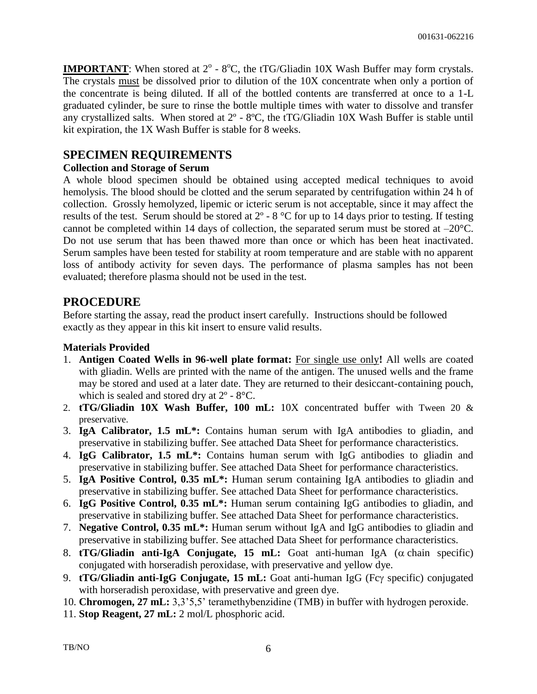**IMPORTANT**: When stored at  $2^{\circ}$  -  $8^{\circ}$ C, the tTG/Gliadin 10X Wash Buffer may form crystals. The crystals must be dissolved prior to dilution of the 10X concentrate when only a portion of the concentrate is being diluted. If all of the bottled contents are transferred at once to a 1-L graduated cylinder, be sure to rinse the bottle multiple times with water to dissolve and transfer any crystallized salts. When stored at 2º - 8ºC, the tTG/Gliadin 10X Wash Buffer is stable until kit expiration, the 1X Wash Buffer is stable for 8 weeks.

# **SPECIMEN REQUIREMENTS**

#### **Collection and Storage of Serum**

A whole blood specimen should be obtained using accepted medical techniques to avoid hemolysis. The blood should be clotted and the serum separated by centrifugation within 24 h of collection. Grossly hemolyzed, lipemic or icteric serum is not acceptable, since it may affect the results of the test. Serum should be stored at  $2^{\circ}$  - 8  $^{\circ}$ C for up to 14 days prior to testing. If testing cannot be completed within 14 days of collection, the separated serum must be stored at –20°C. Do not use serum that has been thawed more than once or which has been heat inactivated. Serum samples have been tested for stability at room temperature and are stable with no apparent loss of antibody activity for seven days. The performance of plasma samples has not been evaluated; therefore plasma should not be used in the test.

# **PROCEDURE**

Before starting the assay, read the product insert carefully. Instructions should be followed exactly as they appear in this kit insert to ensure valid results.

#### **Materials Provided**

- 1. **Antigen Coated Wells in 96-well plate format:** For single use only**!** All wells are coated with gliadin. Wells are printed with the name of the antigen. The unused wells and the frame may be stored and used at a later date. They are returned to their desiccant-containing pouch, which is sealed and stored dry at 2º - 8°C.
- 2. **tTG/Gliadin 10X Wash Buffer, 100 mL:** 10X concentrated buffer with Tween 20 & preservative.
- 3. **IgA Calibrator, 1.5 mL\*:** Contains human serum with IgA antibodies to gliadin, and preservative in stabilizing buffer. See attached Data Sheet for performance characteristics.
- 4. **IgG Calibrator, 1.5 mL\*:** Contains human serum with IgG antibodies to gliadin and preservative in stabilizing buffer. See attached Data Sheet for performance characteristics.
- 5. **IgA Positive Control, 0.35 mL\*:** Human serum containing IgA antibodies to gliadin and preservative in stabilizing buffer. See attached Data Sheet for performance characteristics.
- 6. **IgG Positive Control, 0.35 mL\*:** Human serum containing IgG antibodies to gliadin, and preservative in stabilizing buffer. See attached Data Sheet for performance characteristics.
- 7. **Negative Control, 0.35 mL\*:** Human serum without IgA and IgG antibodies to gliadin and preservative in stabilizing buffer. See attached Data Sheet for performance characteristics.
- 8. **tTG/Gliadin anti-IgA Conjugate, 15 mL:** Goat anti-human IgA  $(\alpha \text{ chain specific})$ conjugated with horseradish peroxidase, with preservative and yellow dye.
- 9. **tTG/Gliadin anti-IgG Conjugate, 15 mL:** Goat anti-human IgG (Fcy specific) conjugated with horseradish peroxidase, with preservative and green dye.

10. **Chromogen, 27 mL:** 3,3'5,5' teramethybenzidine (TMB) in buffer with hydrogen peroxide.

11. **Stop Reagent, 27 mL:** 2 mol/L phosphoric acid.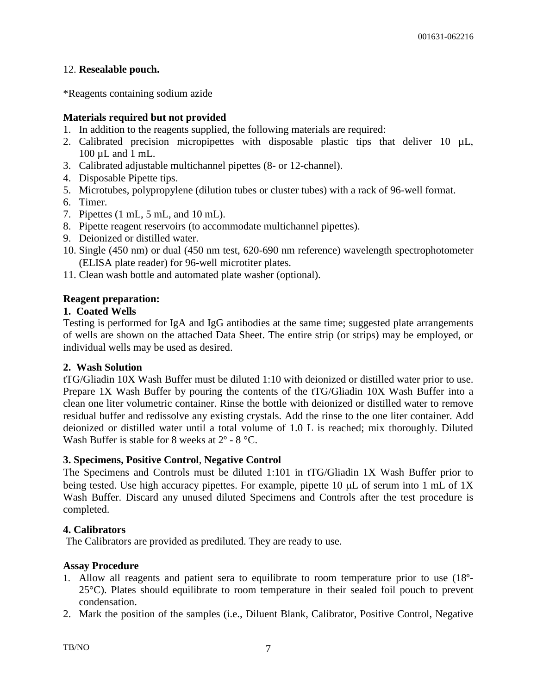#### 12. **Resealable pouch.**

\*Reagents containing sodium azide

#### **Materials required but not provided**

- 1. In addition to the reagents supplied, the following materials are required:
- 2. Calibrated precision micropipettes with disposable plastic tips that deliver 10  $\mu$ L, 100 µL and 1 mL.
- 3. Calibrated adjustable multichannel pipettes (8- or 12-channel).
- 4. Disposable Pipette tips.
- 5. Microtubes, polypropylene (dilution tubes or cluster tubes) with a rack of 96-well format.
- 6. Timer.
- 7. Pipettes (1 mL, 5 mL, and 10 mL).
- 8. Pipette reagent reservoirs (to accommodate multichannel pipettes).
- 9. Deionized or distilled water.
- 10. Single (450 nm) or dual (450 nm test, 620-690 nm reference) wavelength spectrophotometer (ELISA plate reader) for 96-well microtiter plates.
- 11. Clean wash bottle and automated plate washer (optional).

#### **Reagent preparation:**

#### **1. Coated Wells**

Testing is performed for IgA and IgG antibodies at the same time; suggested plate arrangements of wells are shown on the attached Data Sheet. The entire strip (or strips) may be employed, or individual wells may be used as desired.

#### **2. Wash Solution**

tTG/Gliadin 10X Wash Buffer must be diluted 1:10 with deionized or distilled water prior to use. Prepare 1X Wash Buffer by pouring the contents of the tTG/Gliadin 10X Wash Buffer into a clean one liter volumetric container. Rinse the bottle with deionized or distilled water to remove residual buffer and redissolve any existing crystals. Add the rinse to the one liter container. Add deionized or distilled water until a total volume of 1.0 L is reached; mix thoroughly. Diluted Wash Buffer is stable for 8 weeks at  $2^{\circ}$  - 8  $^{\circ}$ C.

#### **3. Specimens, Positive Control**, **Negative Control**

The Specimens and Controls must be diluted 1:101 in tTG/Gliadin 1X Wash Buffer prior to being tested. Use high accuracy pipettes. For example, pipette 10  $\mu$ L of serum into 1 mL of 1X Wash Buffer. Discard any unused diluted Specimens and Controls after the test procedure is completed.

#### **4. Calibrators**

The Calibrators are provided as prediluted. They are ready to use.

#### **Assay Procedure**

- 1. Allow all reagents and patient sera to equilibrate to room temperature prior to use (18º-25°C). Plates should equilibrate to room temperature in their sealed foil pouch to prevent condensation.
- 2. Mark the position of the samples (i.e., Diluent Blank, Calibrator, Positive Control, Negative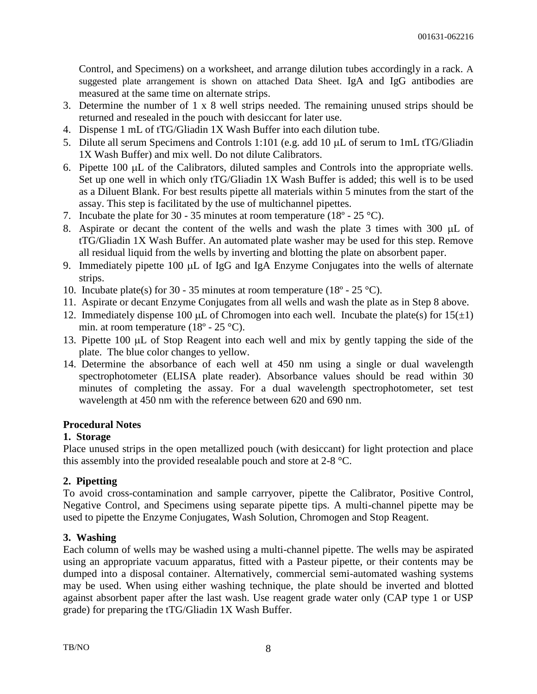Control, and Specimens) on a worksheet, and arrange dilution tubes accordingly in a rack. A suggested plate arrangement is shown on attached Data Sheet. IgA and IgG antibodies are measured at the same time on alternate strips.

- 3. Determine the number of 1 x 8 well strips needed. The remaining unused strips should be returned and resealed in the pouch with desiccant for later use.
- 4. Dispense 1 mL of tTG/Gliadin 1X Wash Buffer into each dilution tube.
- 5. Dilute all serum Specimens and Controls 1:101 (e.g. add 10  $\mu$ L of serum to 1mL tTG/Gliadin 1X Wash Buffer) and mix well. Do not dilute Calibrators.
- 6. Pipette  $100 \mu L$  of the Calibrators, diluted samples and Controls into the appropriate wells. Set up one well in which only tTG/Gliadin 1X Wash Buffer is added; this well is to be used as a Diluent Blank. For best results pipette all materials within 5 minutes from the start of the assay. This step is facilitated by the use of multichannel pipettes.
- 7. Incubate the plate for 30 35 minutes at room temperature (18 $\degree$  25  $\degree$ C).
- 8. Aspirate or decant the content of the wells and wash the plate 3 times with 300  $\mu$ L of tTG/Gliadin 1X Wash Buffer. An automated plate washer may be used for this step. Remove all residual liquid from the wells by inverting and blotting the plate on absorbent paper.
- 9. Immediately pipette 100 µL of IgG and IgA Enzyme Conjugates into the wells of alternate strips.
- 10. Incubate plate(s) for 30 35 minutes at room temperature (18 $^{\circ}$  25 $^{\circ}$ C).
- 11. Aspirate or decant Enzyme Conjugates from all wells and wash the plate as in Step 8 above.
- 12. Immediately dispense 100  $\mu$ L of Chromogen into each well. Incubate the plate(s) for 15( $\pm$ 1) min. at room temperature  $(18^{\circ} - 25^{\circ}C)$ .
- 13. Pipette 100 µL of Stop Reagent into each well and mix by gently tapping the side of the plate. The blue color changes to yellow.
- 14. Determine the absorbance of each well at 450 nm using a single or dual wavelength spectrophotometer (ELISA plate reader). Absorbance values should be read within 30 minutes of completing the assay. For a dual wavelength spectrophotometer, set test wavelength at 450 nm with the reference between 620 and 690 nm.

#### **Procedural Notes**

#### **1. Storage**

Place unused strips in the open metallized pouch (with desiccant) for light protection and place this assembly into the provided resealable pouch and store at 2-8 °C.

#### **2. Pipetting**

To avoid cross-contamination and sample carryover, pipette the Calibrator, Positive Control, Negative Control, and Specimens using separate pipette tips. A multi-channel pipette may be used to pipette the Enzyme Conjugates, Wash Solution, Chromogen and Stop Reagent.

#### **3. Washing**

Each column of wells may be washed using a multi-channel pipette. The wells may be aspirated using an appropriate vacuum apparatus, fitted with a Pasteur pipette, or their contents may be dumped into a disposal container. Alternatively, commercial semi-automated washing systems may be used. When using either washing technique, the plate should be inverted and blotted against absorbent paper after the last wash. Use reagent grade water only (CAP type 1 or USP grade) for preparing the tTG/Gliadin 1X Wash Buffer.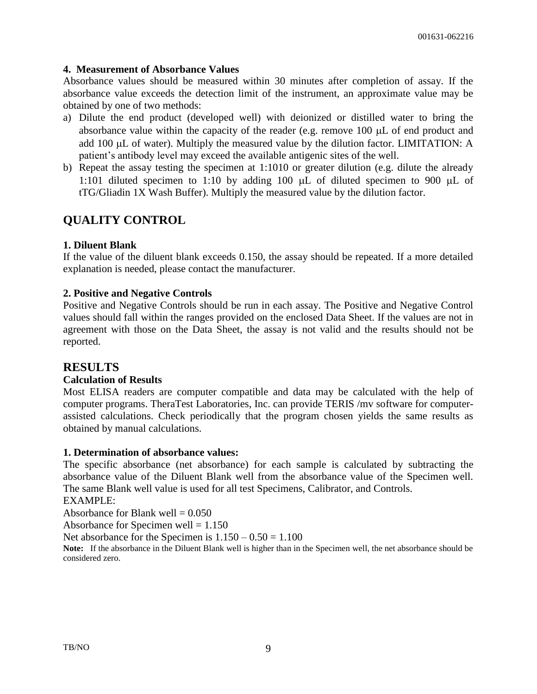#### **4. Measurement of Absorbance Values**

Absorbance values should be measured within 30 minutes after completion of assay. If the absorbance value exceeds the detection limit of the instrument, an approximate value may be obtained by one of two methods:

- a) Dilute the end product (developed well) with deionized or distilled water to bring the absorbance value within the capacity of the reader (e.g. remove  $100 \mu L$  of end product and add  $100 \mu L$  of water). Multiply the measured value by the dilution factor. LIMITATION: A patient's antibody level may exceed the available antigenic sites of the well.
- b) Repeat the assay testing the specimen at 1:1010 or greater dilution (e.g. dilute the already 1:101 diluted specimen to 1:10 by adding 100  $\mu$ L of diluted specimen to 900  $\mu$ L of tTG/Gliadin 1X Wash Buffer). Multiply the measured value by the dilution factor.

# **QUALITY CONTROL**

#### **1. Diluent Blank**

If the value of the diluent blank exceeds 0.150, the assay should be repeated. If a more detailed explanation is needed, please contact the manufacturer.

#### **2. Positive and Negative Controls**

Positive and Negative Controls should be run in each assay. The Positive and Negative Control values should fall within the ranges provided on the enclosed Data Sheet. If the values are not in agreement with those on the Data Sheet, the assay is not valid and the results should not be reported.

#### **RESULTS**

#### **Calculation of Results**

Most ELISA readers are computer compatible and data may be calculated with the help of computer programs. TheraTest Laboratories, Inc. can provide TERIS /mv software for computerassisted calculations. Check periodically that the program chosen yields the same results as obtained by manual calculations.

#### **1. Determination of absorbance values:**

The specific absorbance (net absorbance) for each sample is calculated by subtracting the absorbance value of the Diluent Blank well from the absorbance value of the Specimen well. The same Blank well value is used for all test Specimens, Calibrator, and Controls. EXAMPLE:

Absorbance for Blank well  $= 0.050$ 

Absorbance for Specimen well  $= 1.150$ 

Net absorbance for the Specimen is  $1.150 - 0.50 = 1.100$ 

**Note:** If the absorbance in the Diluent Blank well is higher than in the Specimen well, the net absorbance should be considered zero.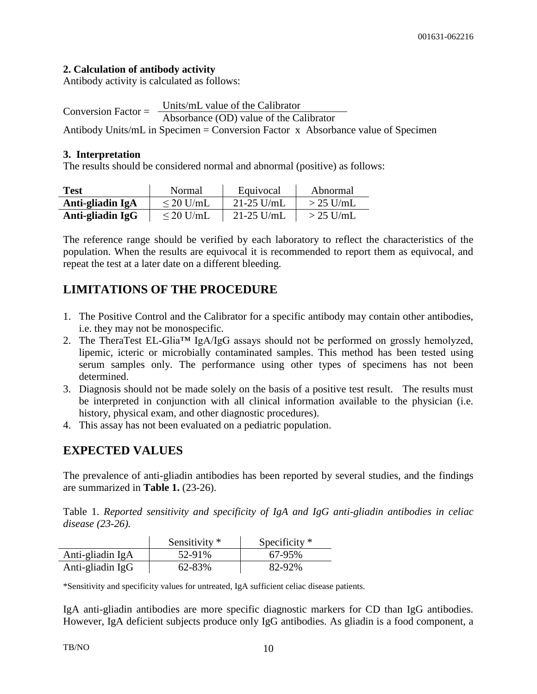#### **2. Calculation of antibody activity**

Antibody activity is calculated as follows:

Conversion Factor =  $\frac{\text{Units/mL value of the Calibrator}}{\text{Units/ML value of the Calibrator}}$ Absorbance (OD) value of the Calibrator Antibody Units/mL in Specimen = Conversion Factor x Absorbance value of Specimen

#### **3. Interpretation**

The results should be considered normal and abnormal (positive) as follows:

| <b>Test</b>      | Normal         | Equivocal      | Abnormal    |
|------------------|----------------|----------------|-------------|
| Anti-gliadin IgA | $\leq$ 20 U/mL | $21 - 25$ U/mL | $>$ 25 U/mL |
| Anti-gliadin IgG | $\leq$ 20 U/mL | $21-25$ U/mL   | $>$ 25 U/mL |

The reference range should be verified by each laboratory to reflect the characteristics of the population. When the results are equivocal it is recommended to report them as equivocal, and repeat the test at a later date on a different bleeding.

# **LIMITATIONS OF THE PROCEDURE**

- 1. The Positive Control and the Calibrator for a specific antibody may contain other antibodies, i.e. they may not be monospecific.
- 2. The TheraTest EL-Glia™ IgA/IgG assays should not be performed on grossly hemolyzed, lipemic, icteric or microbially contaminated samples. This method has been tested using serum samples only. The performance using other types of specimens has not been determined.
- 3. Diagnosis should not be made solely on the basis of a positive test result. The results must be interpreted in conjunction with all clinical information available to the physician (i.e. history, physical exam, and other diagnostic procedures).
- 4. This assay has not been evaluated on a pediatric population.

# **EXPECTED VALUES**

The prevalence of anti-gliadin antibodies has been reported by several studies, and the findings are summarized in **Table 1.** (23-26).

Table 1. *Reported sensitivity and specificity of IgA and IgG anti-gliadin antibodies in celiac disease (23-26).*

|                  | Sensitivity * | Specificity $*$ |
|------------------|---------------|-----------------|
| Anti-gliadin IgA | 52-91%        | 67-95%          |
| Anti-gliadin IgG | 62-83%        | 82-92%          |

\*Sensitivity and specificity values for untreated, IgA sufficient celiac disease patients.

IgA anti-gliadin antibodies are more specific diagnostic markers for CD than IgG antibodies. However, IgA deficient subjects produce only IgG antibodies. As gliadin is a food component, a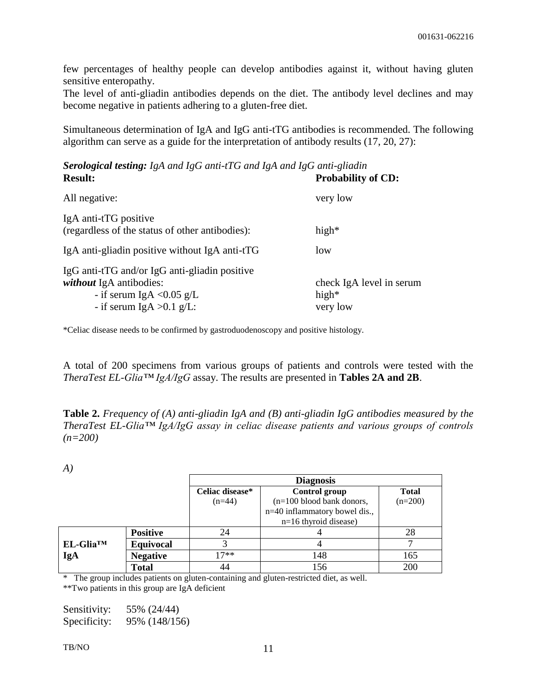few percentages of healthy people can develop antibodies against it, without having gluten sensitive enteropathy.

The level of anti-gliadin antibodies depends on the diet. The antibody level declines and may become negative in patients adhering to a gluten-free diet.

Simultaneous determination of IgA and IgG anti-tTG antibodies is recommended. The following algorithm can serve as a guide for the interpretation of antibody results (17, 20, 27):

*Serological testing: IgA and IgG anti-tTG and IgA and IgG anti-gliadin*  **Result: Probability of CD:**

| All negative:                                                                                                                                | very low                                         |
|----------------------------------------------------------------------------------------------------------------------------------------------|--------------------------------------------------|
| IgA anti-tTG positive<br>(regardless of the status of other antibodies):                                                                     | high $*$                                         |
| IgA anti-gliadin positive without IgA anti-tTG                                                                                               | low                                              |
| IgG anti-tTG and/or IgG anti-gliadin positive<br><i>without</i> IgA antibodies:<br>- if serum IgA $< 0.05$ g/L<br>- if serum IgA $>0.1$ g/L: | check IgA level in serum<br>high $*$<br>very low |

\*Celiac disease needs to be confirmed by gastroduodenoscopy and positive histology.

A total of 200 specimens from various groups of patients and controls were tested with the *TheraTest EL-Glia™ IgA/IgG* assay. The results are presented in **Tables 2A and 2B**.

**Table 2.** *Frequency of (A) anti-gliadin IgA and (B) anti-gliadin IgG antibodies measured by the TheraTest EL-Glia™ IgA/IgG assay in celiac disease patients and various groups of controls (n=200)*

|                       |                  |                                                  | <b>Diagnosis</b>              |           |
|-----------------------|------------------|--------------------------------------------------|-------------------------------|-----------|
|                       |                  | Celiac disease*<br>Control group<br><b>Total</b> |                               |           |
|                       |                  | $(n=44)$                                         | $(n=100$ blood bank donors,   | $(n=200)$ |
|                       |                  |                                                  | n=40 inflammatory bowel dis., |           |
|                       |                  |                                                  | $n=16$ thyroid disease)       |           |
|                       | <b>Positive</b>  | 24                                               |                               | 28        |
| EL-Glia <sup>TM</sup> | <b>Equivocal</b> |                                                  |                               |           |
| IgA                   | <b>Negative</b>  | $17**$                                           | 148                           | 165       |
|                       | <b>Total</b>     | 44                                               | 156                           | 200       |

\* The group includes patients on gluten-containing and gluten-restricted diet, as well.

\*\*Two patients in this group are IgA deficient

| Sensitivity: | 55% (24/44)   |
|--------------|---------------|
| Specificity: | 95% (148/156) |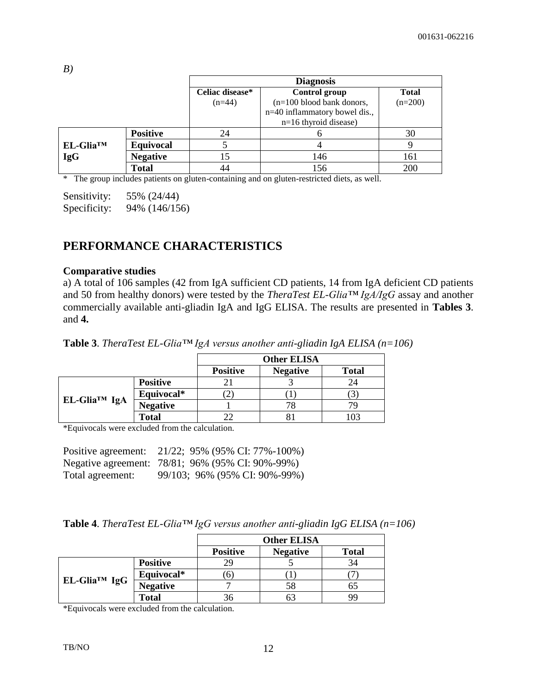| B                     |                 |                                                  |                               |           |
|-----------------------|-----------------|--------------------------------------------------|-------------------------------|-----------|
|                       |                 | <b>Diagnosis</b>                                 |                               |           |
|                       |                 | Celiac disease*<br>Control group<br><b>Total</b> |                               |           |
|                       |                 | $(n=44)$                                         | $(n=100$ blood bank donors,   | $(n=200)$ |
|                       |                 |                                                  | n=40 inflammatory bowel dis., |           |
|                       |                 |                                                  | $n=16$ thyroid disease)       |           |
|                       | <b>Positive</b> | 24                                               | h                             | 30        |
| EL-Glia <sup>TM</sup> | Equivocal       |                                                  |                               | 9         |
| <b>IgG</b>            | <b>Negative</b> | 15                                               | 146                           | 161       |
|                       | <b>Total</b>    | 44                                               | 156                           | 200       |

\* The group includes patients on gluten-containing and on gluten-restricted diets, as well.

Sensitivity: 55% (24/44) Specificity: 94% (146/156)

# **PERFORMANCE CHARACTERISTICS**

#### **Comparative studies**

a) A total of 106 samples (42 from IgA sufficient CD patients, 14 from IgA deficient CD patients and 50 from healthy donors) were tested by the *TheraTest EL-Glia™ IgA/IgG* assay and another commercially available anti-gliadin IgA and IgG ELISA. The results are presented in **Tables 3**. and **4.**

|  | <b>Table 3.</b> TheraTest EL-Glia <sup>TM</sup> IgA versus another anti-gliadin IgA ELISA ( $n=106$ ) |
|--|-------------------------------------------------------------------------------------------------------|
|--|-------------------------------------------------------------------------------------------------------|

|              |                 | <b>Other ELISA</b> |                 |              |
|--------------|-----------------|--------------------|-----------------|--------------|
|              |                 | <b>Positive</b>    | <b>Negative</b> | <b>Total</b> |
| EL-Glia™ IgA | <b>Positive</b> |                    |                 |              |
|              | Equivocal*      |                    |                 |              |
|              | <b>Negative</b> |                    |                 |              |
|              | <b>Total</b>    |                    |                 |              |

\*Equivocals were excluded from the calculation.

| Positive agreement: | 21/22; 95% (95% CI: 77%-100%)                    |
|---------------------|--------------------------------------------------|
|                     | Negative agreement: 78/81; 96% (95% CI: 90%-99%) |
| Total agreement:    | 99/103; 96% (95% CI: 90%-99%)                    |

|  | <b>Table 4.</b> TheraTest EL-Glia <sup>TM</sup> IgG versus another anti-gliadin IgG ELISA ( $n=106$ ) |
|--|-------------------------------------------------------------------------------------------------------|
|--|-------------------------------------------------------------------------------------------------------|

|              |                 | <b>Other ELISA</b> |                 |              |
|--------------|-----------------|--------------------|-----------------|--------------|
|              |                 | <b>Positive</b>    | <b>Negative</b> | <b>Total</b> |
| EL-Glia™ IgG | <b>Positive</b> | 29                 |                 | 34           |
|              | Equivocal*      | O                  |                 |              |
|              | <b>Negative</b> |                    | 58              |              |
|              | <b>Total</b>    | 30                 |                 |              |

\*Equivocals were excluded from the calculation.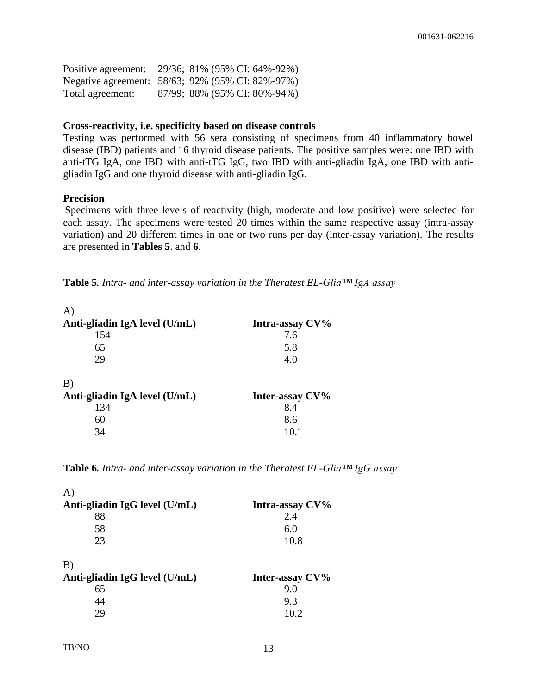| Positive agreement: | 29/36; 81% (95% CI: 64%-92%)                     |
|---------------------|--------------------------------------------------|
|                     | Negative agreement: 58/63; 92% (95% CI: 82%-97%) |
| Total agreement:    | 87/99; 88% (95% CI: 80%-94%)                     |

#### **Cross-reactivity, i.e. specificity based on disease controls**

Testing was performed with 56 sera consisting of specimens from 40 inflammatory bowel disease (IBD) patients and 16 thyroid disease patients. The positive samples were: one IBD with anti-tTG IgA, one IBD with anti-tTG IgG, two IBD with anti-gliadin IgA, one IBD with antigliadin IgG and one thyroid disease with anti-gliadin IgG.

#### **Precision**

Specimens with three levels of reactivity (high, moderate and low positive) were selected for each assay. The specimens were tested 20 times within the same respective assay (intra-assay variation) and 20 different times in one or two runs per day (inter-assay variation). The results are presented in **Tables 5**. and **6**.

**Table 5***. Intra- and inter-assay variation in the Theratest EL-Glia™ IgA assay*

| Intra-assay CV% |
|-----------------|
| 7.6             |
| 5.8             |
| 4.0             |
|                 |
| Inter-assay CV% |
| 8.4             |
| 8.6             |
| 10.1            |
|                 |

**Table 6***. Intra- and inter-assay variation in the Theratest EL-Glia™ IgG assay*

| A                             |                 |
|-------------------------------|-----------------|
| Anti-gliadin IgG level (U/mL) | Intra-assay CV% |
| 88                            | 2.4             |
| 58                            | 6.0             |
| 23                            | 10.8            |
| B)                            |                 |
| Anti-gliadin IgG level (U/mL) | Inter-assay CV% |
| 65                            | 9.0             |
| 44                            | 9.3             |
| 29                            | 10.2            |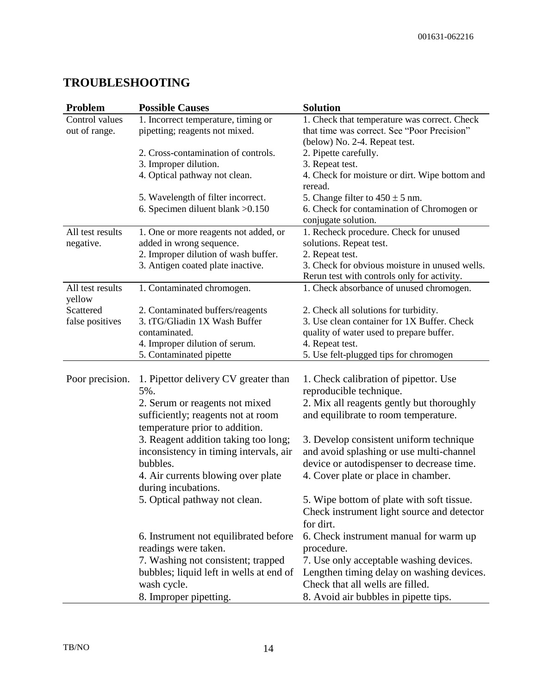# **TROUBLESHOOTING**

| Problem                    | <b>Possible Causes</b>                                 | <b>Solution</b>                                                               |
|----------------------------|--------------------------------------------------------|-------------------------------------------------------------------------------|
| Control values             | 1. Incorrect temperature, timing or                    | 1. Check that temperature was correct. Check                                  |
| out of range.              | pipetting; reagents not mixed.                         | that time was correct. See "Poor Precision"                                   |
|                            |                                                        | (below) No. 2-4. Repeat test.                                                 |
|                            | 2. Cross-contamination of controls.                    | 2. Pipette carefully.                                                         |
|                            | 3. Improper dilution.                                  | 3. Repeat test.                                                               |
|                            | 4. Optical pathway not clean.                          | 4. Check for moisture or dirt. Wipe bottom and<br>reread.                     |
|                            | 5. Wavelength of filter incorrect.                     | 5. Change filter to $450 \pm 5$ nm.                                           |
|                            | 6. Specimen diluent blank > 0.150                      | 6. Check for contamination of Chromogen or<br>conjugate solution.             |
| All test results           | 1. One or more reagents not added, or                  | 1. Recheck procedure. Check for unused                                        |
| negative.                  | added in wrong sequence.                               | solutions. Repeat test.                                                       |
|                            | 2. Improper dilution of wash buffer.                   | 2. Repeat test.                                                               |
|                            | 3. Antigen coated plate inactive.                      | 3. Check for obvious moisture in unused wells.                                |
|                            |                                                        | Rerun test with controls only for activity.                                   |
| All test results<br>yellow | 1. Contaminated chromogen.                             | 1. Check absorbance of unused chromogen.                                      |
| Scattered                  | 2. Contaminated buffers/reagents                       | 2. Check all solutions for turbidity.                                         |
| false positives            | 3. tTG/Gliadin 1X Wash Buffer                          | 3. Use clean container for 1X Buffer. Check                                   |
|                            | contaminated.                                          | quality of water used to prepare buffer.                                      |
|                            | 4. Improper dilution of serum.                         | 4. Repeat test.                                                               |
|                            | 5. Contaminated pipette                                | 5. Use felt-plugged tips for chromogen                                        |
| Poor precision.            | 1. Pipettor delivery CV greater than                   | 1. Check calibration of pipettor. Use                                         |
|                            | 5%.                                                    | reproducible technique.                                                       |
|                            | 2. Serum or reagents not mixed                         | 2. Mix all reagents gently but thoroughly                                     |
|                            | sufficiently; reagents not at room                     | and equilibrate to room temperature.                                          |
|                            | temperature prior to addition.                         |                                                                               |
|                            | 3. Reagent addition taking too long;                   | 3. Develop consistent uniform technique                                       |
|                            | inconsistency in timing intervals, air                 | and avoid splashing or use multi-channel                                      |
|                            | bubbles.                                               | device or autodispenser to decrease time.                                     |
|                            | 4. Air currents blowing over plate                     | 4. Cover plate or place in chamber.                                           |
|                            | during incubations.                                    |                                                                               |
|                            | 5. Optical pathway not clean.                          | 5. Wipe bottom of plate with soft tissue.                                     |
|                            |                                                        | Check instrument light source and detector                                    |
|                            |                                                        | for dirt.                                                                     |
|                            | 6. Instrument not equilibrated before                  | 6. Check instrument manual for warm up                                        |
|                            | readings were taken.                                   | procedure.                                                                    |
|                            | 7. Washing not consistent; trapped                     | 7. Use only acceptable washing devices.                                       |
|                            | bubbles; liquid left in wells at end of<br>wash cycle. | Lengthen timing delay on washing devices.<br>Check that all wells are filled. |
|                            | 8. Improper pipetting.                                 | 8. Avoid air bubbles in pipette tips.                                         |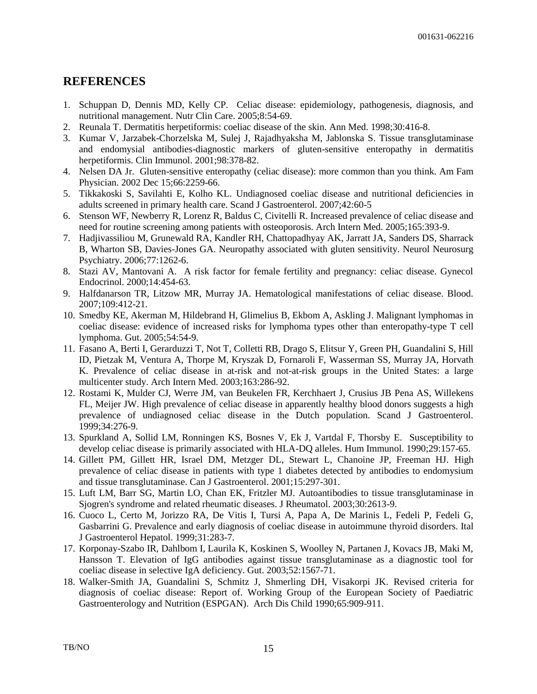# **REFERENCES**

- 1. Schuppan D, Dennis MD, Kelly CP. Celiac disease: epidemiology, pathogenesis, diagnosis, and nutritional management. Nutr Clin Care. 2005;8:54-69.
- 2. Reunala T. Dermatitis herpetiformis: coeliac disease of the skin. Ann Med. 1998;30:416-8.
- 3. Kumar V, Jarzabek-Chorzelska M, Sulej J, Rajadhyaksha M, Jablonska S. Tissue transglutaminase and endomysial antibodies-diagnostic markers of gluten-sensitive enteropathy in dermatitis herpetiformis. Clin Immunol. 2001;98:378-82.
- 4. Nelsen DA Jr. Gluten-sensitive enteropathy (celiac disease): more common than you think. Am Fam Physician. 2002 Dec 15;66:2259-66.
- 5. Tikkakoski S, Savilahti E, Kolho KL. Undiagnosed coeliac disease and nutritional deficiencies in adults screened in primary health care. Scand J Gastroenterol. 2007;42:60-5
- 6. Stenson WF, Newberry R, Lorenz R, Baldus C, Civitelli R. Increased prevalence of celiac disease and need for routine screening among patients with osteoporosis. Arch Intern Med. 2005;165:393-9.
- 7. Hadjivassiliou M, Grunewald RA, Kandler RH, Chattopadhyay AK, Jarratt JA, Sanders DS, Sharrack B, Wharton SB, Davies-Jones GA. Neuropathy associated with gluten sensitivity. Neurol Neurosurg Psychiatry. 2006;77:1262-6.
- 8. Stazi AV, Mantovani A. A risk factor for female fertility and pregnancy: celiac disease. Gynecol Endocrinol. 2000;14:454-63.
- 9. Halfdanarson TR, Litzow MR, Murray JA. Hematological manifestations of celiac disease. Blood. 2007;109:412-21.
- 10. Smedby KE, Akerman M, Hildebrand H, Glimelius B, Ekbom A, Askling J. Malignant lymphomas in coeliac disease: evidence of increased risks for lymphoma types other than enteropathy-type T cell lymphoma. Gut. 2005;54:54-9.
- 11. Fasano A, Berti I, Gerarduzzi T, Not T, Colletti RB, Drago S, Elitsur Y, Green PH, Guandalini S, Hill ID, Pietzak M, Ventura A, Thorpe M, Kryszak D, Fornaroli F, Wasserman SS, Murray JA, Horvath K. Prevalence of celiac disease in at-risk and not-at-risk groups in the United States: a large multicenter study. Arch Intern Med. 2003;163:286-92.
- 12. Rostami K, Mulder CJ, Werre JM, van Beukelen FR, Kerchhaert J, Crusius JB Pena AS, Willekens FL, Meijer JW. High prevalence of celiac disease in apparently healthy blood donors suggests a high prevalence of undiagnosed celiac disease in the Dutch population. Scand J Gastroenterol. 1999;34:276-9.
- 13. Spurkland A, Sollid LM, Ronningen KS, Bosnes V, Ek J, Vartdal F, Thorsby E. Susceptibility to develop celiac disease is primarily associated with HLA-DQ alleles. Hum Immunol. 1990;29:157-65.
- 14. Gillett PM, Gillett HR, Israel DM, Metzger DL, Stewart L, Chanoine JP, Freeman HJ. High prevalence of celiac disease in patients with type 1 diabetes detected by antibodies to endomysium and tissue transglutaminase. Can J Gastroenterol. 2001;15:297-301.
- 15. Luft LM, Barr SG, Martin LO, Chan EK, Fritzler MJ. Autoantibodies to tissue transglutaminase in Sjogren's syndrome and related rheumatic diseases. J Rheumatol. 2003;30:2613-9.
- 16. Cuoco L, Certo M, Jorizzo RA, De Vitis I, Tursi A, Papa A, De Marinis L, Fedeli P, Fedeli G, Gasbarrini G. Prevalence and early diagnosis of coeliac disease in autoimmune thyroid disorders. Ital J Gastroenterol Hepatol. 1999;31:283-7.
- 17. Korponay-Szabo IR, Dahlbom I, Laurila K, Koskinen S, Woolley N, Partanen J, Kovacs JB, Maki M, Hansson T. Elevation of IgG antibodies against tissue transglutaminase as a diagnostic tool for coeliac disease in selective IgA deficiency. Gut. 2003;52:1567-71.
- 18. Walker-Smith JA, Guandalini S, Schmitz J, Shmerling DH, Visakorpi JK. Revised criteria for diagnosis of coeliac disease: Report of. Working Group of the European Society of Paediatric Gastroenterology and Nutrition (ESPGAN). Arch Dis Child 1990;65:909-911.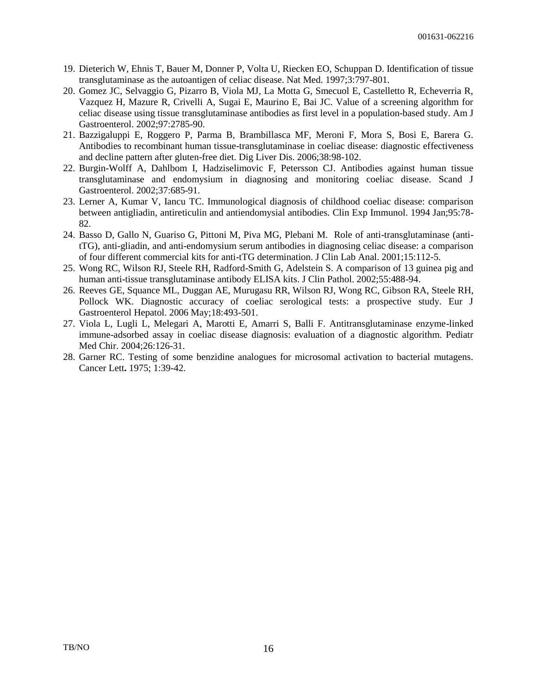- 19. Dieterich W, Ehnis T, Bauer M, Donner P, Volta U, Riecken EO, Schuppan D. Identification of tissue transglutaminase as the autoantigen of celiac disease. Nat Med. 1997;3:797-801.
- 20. Gomez JC, Selvaggio G, Pizarro B, Viola MJ, La Motta G, Smecuol E, Castelletto R, Echeverria R, Vazquez H, Mazure R, Crivelli A, Sugai E, Maurino E, Bai JC. Value of a screening algorithm for celiac disease using tissue transglutaminase antibodies as first level in a population-based study. Am J Gastroenterol. 2002;97:2785-90.
- 21. Bazzigaluppi E, Roggero P, Parma B, Brambillasca MF, Meroni F, Mora S, Bosi E, Barera G. Antibodies to recombinant human tissue-transglutaminase in coeliac disease: diagnostic effectiveness and decline pattern after gluten-free diet. Dig Liver Dis. 2006;38:98-102.
- 22. Burgin-Wolff A, Dahlbom I, Hadziselimovic F, Petersson CJ. Antibodies against human tissue transglutaminase and endomysium in diagnosing and monitoring coeliac disease. Scand J Gastroenterol. 2002;37:685-91.
- 23. Lerner A, Kumar V, Iancu TC. Immunological diagnosis of childhood coeliac disease: comparison between antigliadin, antireticulin and antiendomysial antibodies. Clin Exp Immunol. 1994 Jan;95:78- 82.
- 24. Basso D, Gallo N, Guariso G, Pittoni M, Piva MG, Plebani M. Role of anti-transglutaminase (antitTG), anti-gliadin, and anti-endomysium serum antibodies in diagnosing celiac disease: a comparison of four different commercial kits for anti-tTG determination. J Clin Lab Anal. 2001;15:112-5.
- 25. Wong RC, Wilson RJ, Steele RH, Radford-Smith G, Adelstein S. A comparison of 13 guinea pig and human anti-tissue transglutaminase antibody ELISA kits. J Clin Pathol. 2002;55:488-94.
- 26. Reeves GE, Squance ML, Duggan AE, Murugasu RR, Wilson RJ, Wong RC, Gibson RA, Steele RH, Pollock WK. Diagnostic accuracy of coeliac serological tests: a prospective study. Eur J Gastroenterol Hepatol. 2006 May;18:493-501.
- 27. Viola L, Lugli L, Melegari A, Marotti E, Amarri S, Balli F. Antitransglutaminase enzyme-linked immune-adsorbed assay in coeliac disease diagnosis: evaluation of a diagnostic algorithm. Pediatr Med Chir. 2004;26:126-31.
- 28. Garner RC. Testing of some benzidine analogues for microsomal activation to bacterial mutagens. Cancer Lett**.** 1975; 1:39-42.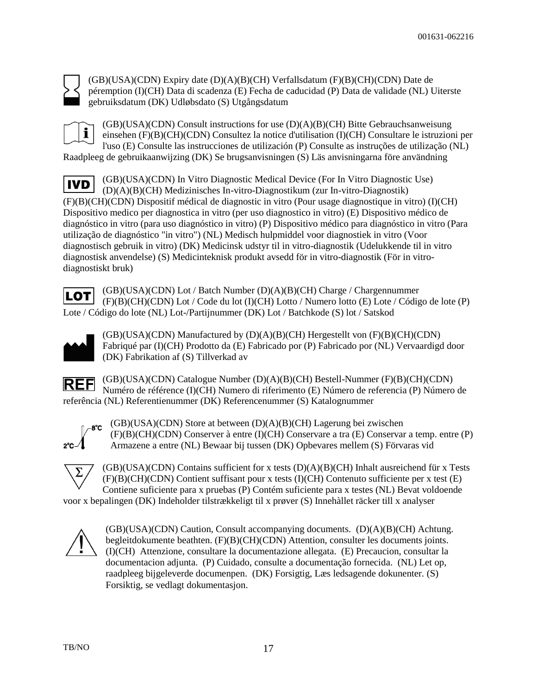

(GB)(USA)(CDN) Expiry date (D)(A)(B)(CH) Verfallsdatum (F)(B)(CH)(CDN) Date de péremption (I)(CH) Data di scadenza (E) Fecha de caducidad (P) Data de validade (NL) Uiterste gebruiksdatum (DK) Udløbsdato (S) Utgångsdatum

i.

 $(GB)(USA)(CDN)$  Consult instructions for use  $(D)(A)(B)(CH)$  Bitte Gebrauchsanweisung einsehen (F)(B)(CH)(CDN) Consultez la notice d'utilisation (I)(CH) Consultare le istruzioni per l'uso (E) Consulte las instrucciones de utilización (P) Consulte as instruções de utilização (NL)

Raadpleeg de gebruikaanwijzing (DK) Se brugsanvisningen (S) Läs anvisningarna före användning

(GB)(USA)(CDN) In Vitro Diagnostic Medical Device (For In Vitro Diagnostic Use) **IVD** (D)(A)(B)(CH) Medizinisches In-vitro-Diagnostikum (zur In-vitro-Diagnostik) (F)(B)(CH)(CDN) Dispositif médical de diagnostic in vitro (Pour usage diagnostique in vitro) (I)(CH) Dispositivo medico per diagnostica in vitro (per uso diagnostico in vitro) (E) Dispositivo médico de diagnóstico in vitro (para uso diagnóstico in vitro) (P) Dispositivo médico para diagnóstico in vitro (Para utilização de diagnóstico "in vitro") (NL) Medisch hulpmiddel voor diagnostiek in vitro (Voor diagnostisch gebruik in vitro) (DK) Medicinsk udstyr til in vitro-diagnostik (Udelukkende til in vitro diagnostisk anvendelse) (S) Medicinteknisk produkt avsedd för in vitro-diagnostik (För in vitrodiagnostiskt bruk)

(GB)(USA)(CDN) Lot / Batch Number (D)(A)(B)(CH) Charge / Chargennummer LOT (F)(B)(CH)(CDN) Lot / Code du lot (I)(CH) Lotto / Numero lotto (E) Lote / Código de lote (P) Lote / Código do lote (NL) Lot-/Partijnummer (DK) Lot / Batchkode (S) lot / Satskod



(GB)(USA)(CDN) Manufactured by (D)(A)(B)(CH) Hergestellt von (F)(B)(CH)(CDN) Fabriqué par (I)(CH) Prodotto da (E) Fabricado por (P) Fabricado por (NL) Vervaardigd door (DK) Fabrikation af (S) Tillverkad av

(GB)(USA)(CDN) Catalogue Number (D)(A)(B)(CH) Bestell-Nummer (F)(B)(CH)(CDN) **REF** Numéro de référence (I)(CH) Numero di riferimento (E) Número de referencia (P) Número de referência (NL) Referentienummer (DK) Referencenummer (S) Katalognummer



(GB)(USA)(CDN) Store at between (D)(A)(B)(CH) Lagerung bei zwischen (F)(B)(CH)(CDN) Conserver à entre (I)(CH) Conservare a tra (E) Conservar a temp. entre (P) Armazene a entre (NL) Bewaar bij tussen (DK) Opbevares mellem (S) Förvaras vid



(GB)(USA)(CDN) Contains sufficient for x tests (D)(A)(B)(CH) Inhalt ausreichend für x Tests  $(F)(B)(CH)(CDN)$  Contient suffisant pour x tests  $(I)(CH)$  Contenuto sufficiente per x test  $(E)$ Contiene suficiente para x pruebas (P) Contém suficiente para x testes (NL) Bevat voldoende voor x bepalingen (DK) Indeholder tilstrækkeligt til x prøver (S) Innehàllet räcker till x analyser

(GB)(USA)(CDN) Caution, Consult accompanying documents. (D)(A)(B)(CH) Achtung. begleitdokumente beathten. (F)(B)(CH)(CDN) Attention, consulter les documents joints. (I)(CH) Attenzione, consultare la documentazione allegata. (E) Precaucion, consultar la documentacion adjunta. (P) Cuidado, consulte a documentação fornecida. (NL) Let op, raadpleeg bijgeleverde documenpen. (DK) Forsigtig, Læs ledsagende dokunenter. (S) Forsiktig, se vedlagt dokumentasjon.